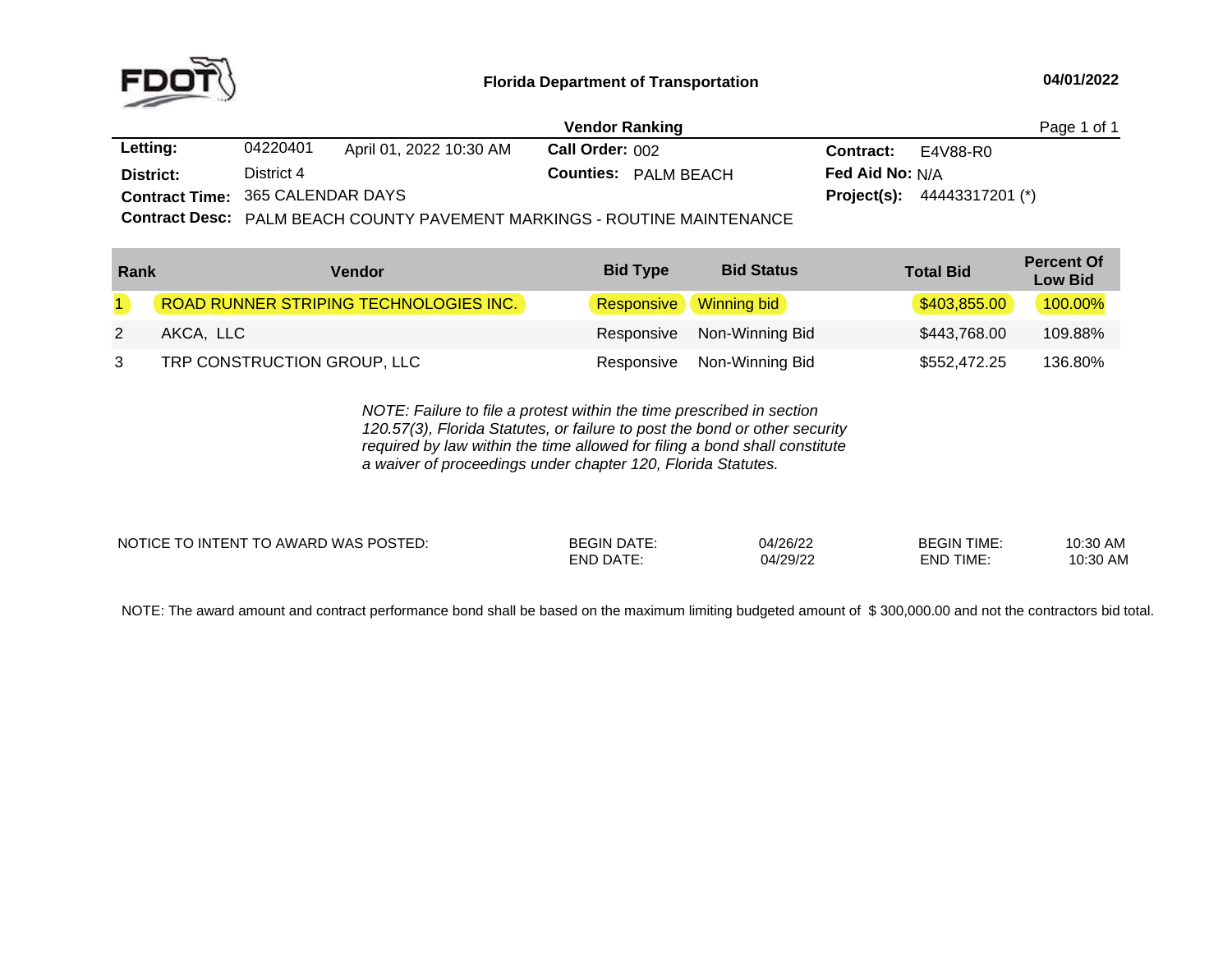

|                                         |            |                         | <b>Vendor Ranking</b>                                                    |                        |                                      | Page 1 of 1 |
|-----------------------------------------|------------|-------------------------|--------------------------------------------------------------------------|------------------------|--------------------------------------|-------------|
| Letting:                                | 04220401   | April 01, 2022 10:30 AM | Call Order: 002                                                          | <b>Contract:</b>       | E4V88-R0                             |             |
| District:                               | District 4 |                         | <b>Counties: PALM BEACH</b>                                              | <b>Fed Aid No:</b> N/A |                                      |             |
| <b>Contract Time: 365 CALENDAR DAYS</b> |            |                         |                                                                          |                        | <b>Project(s):</b> $44443317201$ (*) |             |
|                                         |            |                         | Contract Doce: DALM DEACH COUNTY DAVENENT MADIZINGS. DOUTINE MAINTENANCE |                        |                                      |             |

**Contract Desc:** PALM BEACH COUNTY PAVEMENT MARKINGS - ROUTINE MAINTENANCE

| Rank           | <b>Vendor</b>                                 | <b>Bid Type</b>        | <b>Bid Status</b>          | <b>Total Bid</b> | <b>Percent Of</b><br><b>Low Bid</b> |
|----------------|-----------------------------------------------|------------------------|----------------------------|------------------|-------------------------------------|
| $\blacksquare$ | <b>ROAD RUNNER STRIPING TECHNOLOGIES INC.</b> | Responsive Winning bid |                            | \$403,855.00     | 100.00%                             |
|                | AKCA, LLC                                     |                        | Responsive Non-Winning Bid | \$443,768.00     | 109.88%                             |
| 3              | TRP CONSTRUCTION GROUP, LLC                   | Responsive             | Non-Winning Bid            | \$552,472.25     | 136.80%                             |

*NOTE: Failure to file <sup>a</sup> protest within the time prescribed in section 120.57(3), Florida Statutes, or failure to post the bond or other security required by law within the time allowed for filing <sup>a</sup> bond shall constitute a waiver of proceedings under chapter 120, Florida Statutes.*

| NOTICE TO INTENT TO AWARD WAS POSTED: | <b>BEGIN DATE</b> | 04/26/22 | <b>BEGIN TIME:</b> | 10:30 AM |
|---------------------------------------|-------------------|----------|--------------------|----------|
|                                       | END DATE:         | 04/29/22 | END TIME           | 10:30 AM |

NOTE: The award amount and contract performance bond shall be based on the maximum limiting budgeted amount of \$ 300,000.00 and not the contractors bid total.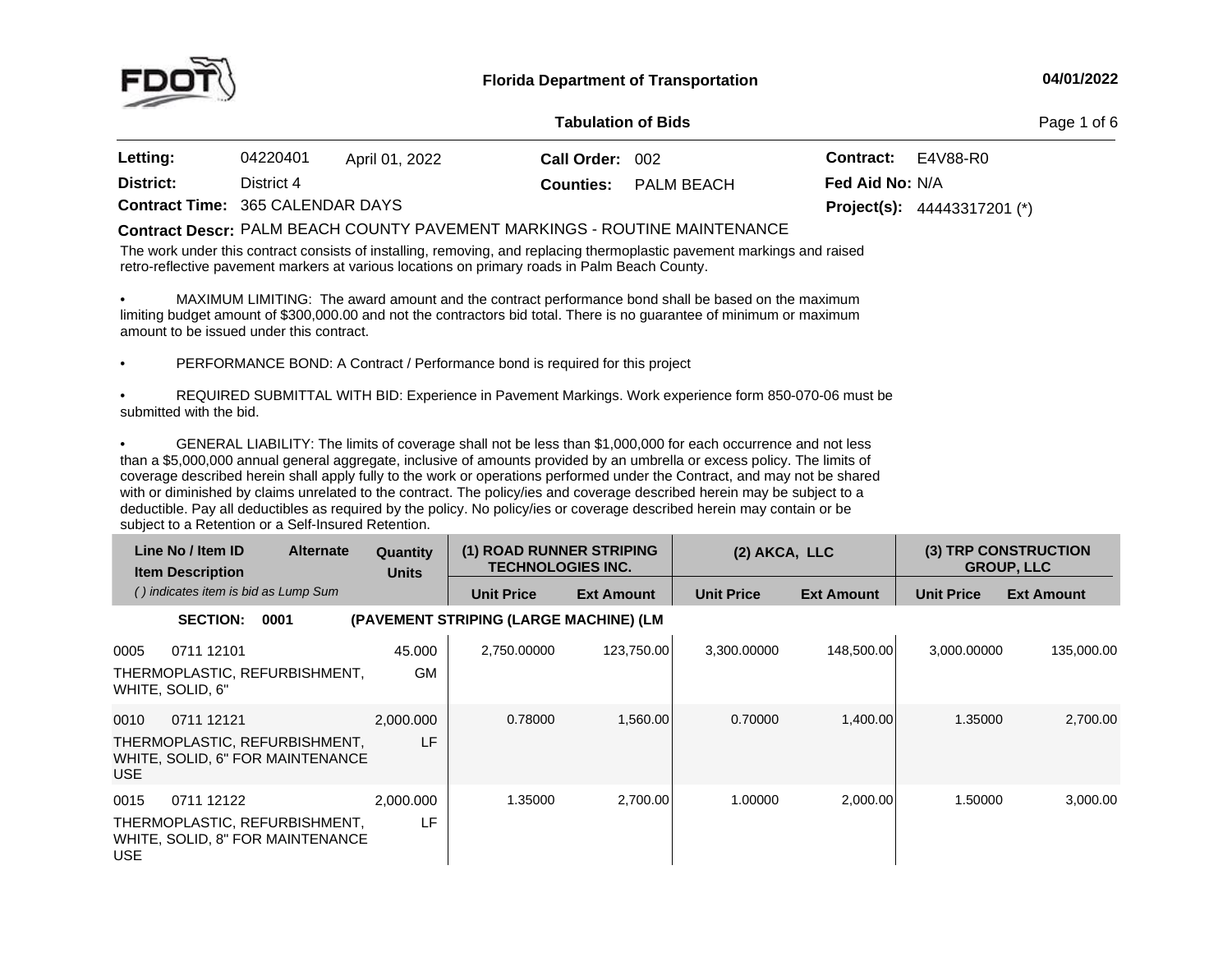

#### **04/01/2022**

### **Tabulation**

Page 1 of 6

| Letting:                                | 04220401   | April 01, 2022 | Call Order: 002  |            | <b>Contract:</b>       | E4V88-R0                             |  |
|-----------------------------------------|------------|----------------|------------------|------------|------------------------|--------------------------------------|--|
| District:                               | District 4 |                | <b>Counties:</b> | PALM BEACH | <b>Fed Aid No: N/A</b> |                                      |  |
| <b>Contract Time: 365 CALENDAR DAYS</b> |            |                |                  |            |                        | <b>Project(s):</b> $44443317201$ (*) |  |

# **Contract Descr:** PALM BEACH COUNTY PAVEMENT MARKINGS - ROUTINE MAINTENANCE<br>T

The work under this contract consists of installing, removing, and replacing thermoplastic pavement markings and raised retro-reflective pavement markers at various locations on primary roads in Palm Beach County.

• MAXIMUM LIMITING: The award amount and the contract performance bond shall be based on the maximum limiting budget amount of \$300,000.00 and not the contractors bid total. There is no guarantee of minimum or maximum<br>ລຫວມາt to be issued under this contract amount to be issued under this contract.

•PERFORMANCE BOND: <sup>A</sup> Contract / Performance bond is required for this project

• REQUIRED SUBMITTAL WITH BID: Experience in Pavement Markings. Work experience form 850-070-06 must be submitted with the bid.

•GENERAL LIABILITY: The limits of coverage shall not be less than \$1,000,000 for each occurrence and not less than <sup>a</sup> \$5,000,000 annual general aggregate, inclusive of amounts provided by an umbrella or excess policy. The limits of coverage described herein shall apply fully to the work or operations performed under the Contract, and may not be shared with or diminished by claims unrelated to the contract. The policy/ies and coverage described herein may be subject to <sup>a</sup> deductible. Pay all deductibles as required by the policy. No policy/ies or coverage described herein may contain or be subject to <sup>a</sup> Retention or <sup>a</sup> Self-Insured Retention.

|                    | Line No / Item ID<br><b>Item Description</b> | <b>Alternate</b>                                                  | Quantity<br><b>Units</b> | (1) ROAD RUNNER STRIPING<br><b>TECHNOLOGIES INC.</b> |                   | $(2)$ AKCA, LLC   |                   |                   | (3) TRP CONSTRUCTION<br><b>GROUP, LLC</b> |
|--------------------|----------------------------------------------|-------------------------------------------------------------------|--------------------------|------------------------------------------------------|-------------------|-------------------|-------------------|-------------------|-------------------------------------------|
|                    | () indicates item is bid as Lump Sum         |                                                                   |                          | <b>Unit Price</b>                                    | <b>Ext Amount</b> | <b>Unit Price</b> | <b>Ext Amount</b> | <b>Unit Price</b> | <b>Ext Amount</b>                         |
|                    | <b>SECTION:</b>                              | 0001                                                              |                          | (PAVEMENT STRIPING (LARGE MACHINE) (LM               |                   |                   |                   |                   |                                           |
| 0005               | 0711 12101<br>WHITE, SOLID, 6"               | THERMOPLASTIC, REFURBISHMENT,                                     | 45.000<br><b>GM</b>      | 2.750.00000                                          | 123,750.00        | 3,300.00000       | 148,500.00        | 3,000.00000       | 135,000.00                                |
| 0010<br><b>USE</b> | 0711 12121                                   | THERMOPLASTIC, REFURBISHMENT,<br>WHITE, SOLID, 6" FOR MAINTENANCE | 2,000.000<br>LF          | 0.78000                                              | 1,560.00          | 0.70000           | 1,400.00          | 1.35000           | 2,700.00                                  |
| 0015<br><b>USE</b> | 0711 12122                                   | THERMOPLASTIC, REFURBISHMENT,<br>WHITE, SOLID, 8" FOR MAINTENANCE | 2,000.000<br>LF          | 1.35000                                              | 2,700.00          | 1.00000           | 2,000.00          | 1.50000           | 3,000.00                                  |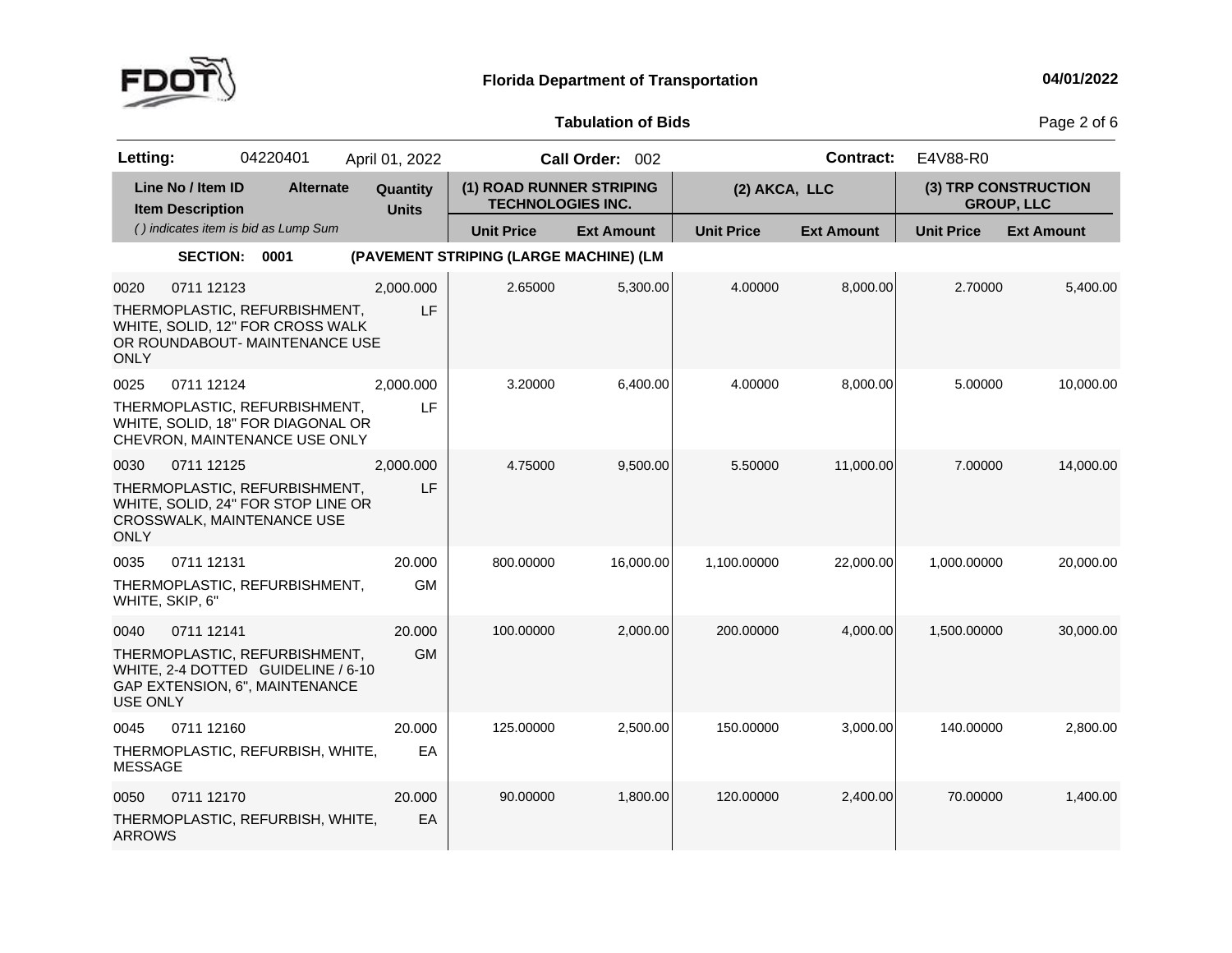

## **04/01/2022**

**Tabulation**

Page 2 of 6

| Letting:                |                                              | 04220401                                                                                              | April 01, 2022           |                                                      | Call Order: 002   |                   | <b>Contract:</b>  | E4V88-R0          |                                           |
|-------------------------|----------------------------------------------|-------------------------------------------------------------------------------------------------------|--------------------------|------------------------------------------------------|-------------------|-------------------|-------------------|-------------------|-------------------------------------------|
|                         | Line No / Item ID<br><b>Item Description</b> | <b>Alternate</b>                                                                                      | Quantity<br><b>Units</b> | (1) ROAD RUNNER STRIPING<br><b>TECHNOLOGIES INC.</b> |                   | (2) AKCA, LLC     |                   |                   | (3) TRP CONSTRUCTION<br><b>GROUP, LLC</b> |
|                         |                                              | () indicates item is bid as Lump Sum                                                                  |                          | <b>Unit Price</b>                                    | <b>Ext Amount</b> | <b>Unit Price</b> | <b>Ext Amount</b> | <b>Unit Price</b> | <b>Ext Amount</b>                         |
|                         | <b>SECTION:</b>                              | 0001                                                                                                  |                          | (PAVEMENT STRIPING (LARGE MACHINE) (LM               |                   |                   |                   |                   |                                           |
| 0020<br><b>ONLY</b>     | 0711 12123                                   | THERMOPLASTIC, REFURBISHMENT,<br>WHITE, SOLID, 12" FOR CROSS WALK<br>OR ROUNDABOUT- MAINTENANCE USE   | 2,000.000<br>LF          | 2.65000                                              | 5,300.00          | 4.00000           | 8,000.00          | 2.70000           | 5,400.00                                  |
| 0025                    | 0711 12124                                   | THERMOPLASTIC, REFURBISHMENT,<br>WHITE, SOLID, 18" FOR DIAGONAL OR<br>CHEVRON, MAINTENANCE USE ONLY   | 2,000.000<br>LF          | 3.20000                                              | 6,400.00          | 4.00000           | 8,000.00          | 5.00000           | 10,000.00                                 |
| 0030<br><b>ONLY</b>     | 0711 12125                                   | THERMOPLASTIC, REFURBISHMENT,<br>WHITE, SOLID, 24" FOR STOP LINE OR<br>CROSSWALK, MAINTENANCE USE     | 2,000.000<br>LF          | 4.75000                                              | 9,500.00          | 5.50000           | 11,000.00         | 7.00000           | 14,000.00                                 |
| 0035<br>WHITE, SKIP, 6" | 0711 12131                                   | THERMOPLASTIC, REFURBISHMENT,                                                                         | 20.000<br><b>GM</b>      | 800.00000                                            | 16,000.00         | 1,100.00000       | 22,000.00         | 1,000.00000       | 20,000.00                                 |
| 0040<br><b>USE ONLY</b> | 0711 12141                                   | THERMOPLASTIC, REFURBISHMENT,<br>WHITE, 2-4 DOTTED GUIDELINE / 6-10<br>GAP EXTENSION, 6", MAINTENANCE | 20.000<br><b>GM</b>      | 100.00000                                            | 2,000.00          | 200.00000         | 4,000.00          | 1,500.00000       | 30,000.00                                 |
| 0045<br><b>MESSAGE</b>  | 0711 12160                                   | THERMOPLASTIC, REFURBISH, WHITE,                                                                      | 20.000<br>EA             | 125.00000                                            | 2,500.00          | 150.00000         | 3,000.00          | 140.00000         | 2,800.00                                  |
| 0050<br><b>ARROWS</b>   | 0711 12170                                   | THERMOPLASTIC, REFURBISH, WHITE,                                                                      | 20,000<br>EA             | 90.00000                                             | 1,800.00          | 120.00000         | 2,400.00          | 70.00000          | 1,400.00                                  |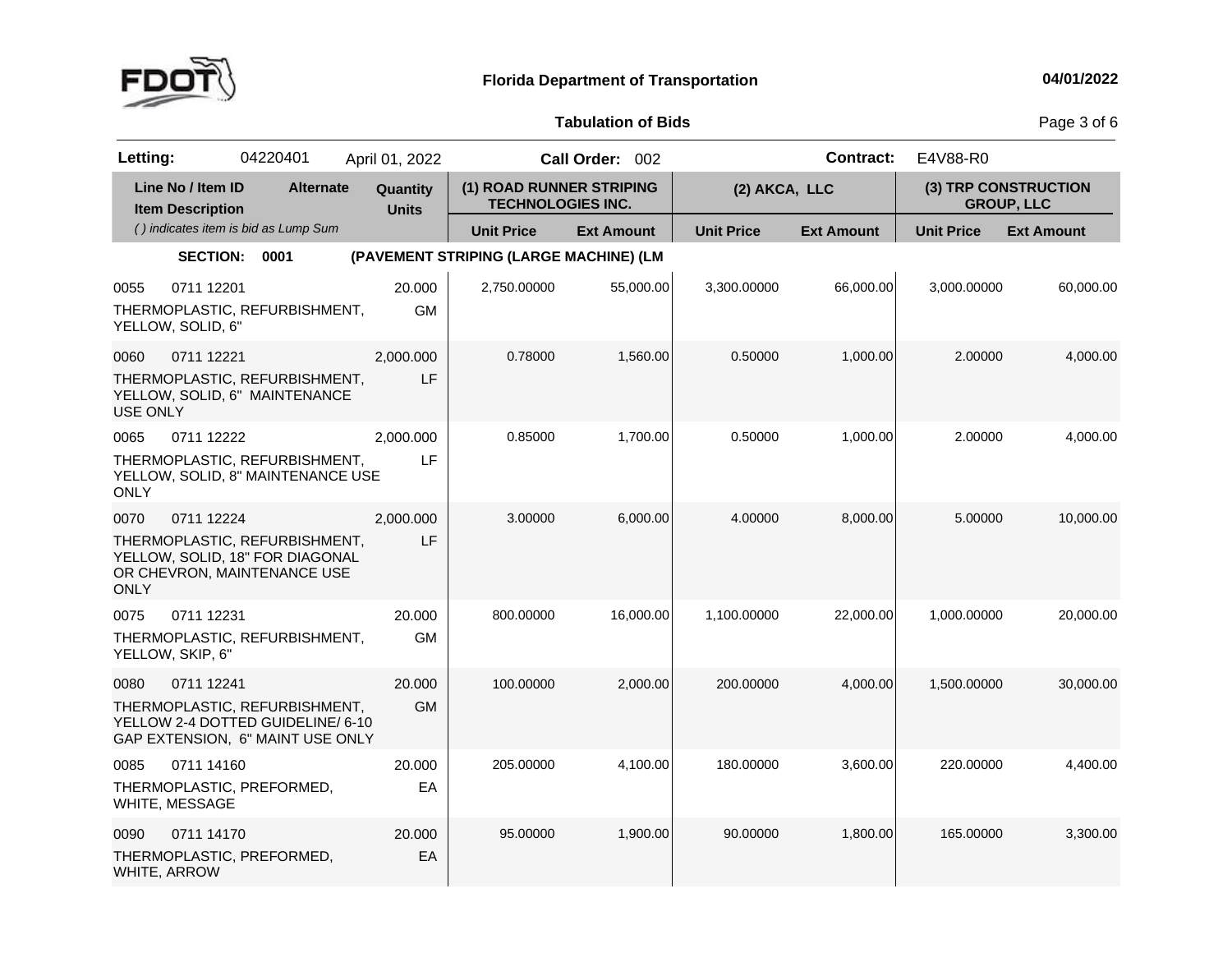

**Tabulation**

Page 3 of 6

| Letting:                |                                              | 04220401                                                                                               | April 01, 2022           |                                                      | Call Order: 002   |                   | <b>Contract:</b>  | E4V88-R0          |                                           |
|-------------------------|----------------------------------------------|--------------------------------------------------------------------------------------------------------|--------------------------|------------------------------------------------------|-------------------|-------------------|-------------------|-------------------|-------------------------------------------|
|                         | Line No / Item ID<br><b>Item Description</b> | <b>Alternate</b>                                                                                       | Quantity<br><b>Units</b> | (1) ROAD RUNNER STRIPING<br><b>TECHNOLOGIES INC.</b> |                   | (2) AKCA, LLC     |                   |                   | (3) TRP CONSTRUCTION<br><b>GROUP, LLC</b> |
|                         |                                              | () indicates item is bid as Lump Sum                                                                   |                          | <b>Unit Price</b>                                    | <b>Ext Amount</b> | <b>Unit Price</b> | <b>Ext Amount</b> | <b>Unit Price</b> | <b>Ext Amount</b>                         |
|                         | <b>SECTION:</b>                              | 0001                                                                                                   |                          | (PAVEMENT STRIPING (LARGE MACHINE) (LM               |                   |                   |                   |                   |                                           |
| 0055                    | 0711 12201<br>YELLOW, SOLID, 6"              | THERMOPLASTIC, REFURBISHMENT,                                                                          | 20.000<br><b>GM</b>      | 2,750.00000                                          | 55,000.00         | 3,300.00000       | 66,000.00         | 3,000.00000       | 60,000.00                                 |
| 0060<br><b>USE ONLY</b> | 0711 12221                                   | THERMOPLASTIC, REFURBISHMENT,<br>YELLOW, SOLID, 6" MAINTENANCE                                         | 2,000.000<br>LF          | 0.78000                                              | 1,560.00          | 0.50000           | 1,000.00          | 2.00000           | 4,000.00                                  |
| 0065<br>ONLY            | 0711 12222                                   | THERMOPLASTIC, REFURBISHMENT,<br>YELLOW, SOLID, 8" MAINTENANCE USE                                     | 2,000.000<br>LF          | 0.85000                                              | 1,700.00          | 0.50000           | 1,000.00          | 2.00000           | 4,000.00                                  |
| 0070<br><b>ONLY</b>     | 0711 12224                                   | THERMOPLASTIC, REFURBISHMENT,<br>YELLOW, SOLID, 18" FOR DIAGONAL<br>OR CHEVRON, MAINTENANCE USE        | 2,000.000<br>LF          | 3.00000                                              | 6,000.00          | 4.00000           | 8,000.00          | 5.00000           | 10,000.00                                 |
| 0075                    | 0711 12231<br>YELLOW, SKIP, 6"               | THERMOPLASTIC, REFURBISHMENT,                                                                          | 20.000<br><b>GM</b>      | 800.00000                                            | 16,000.00         | 1,100.00000       | 22,000.00         | 1,000.00000       | 20,000.00                                 |
| 0080                    | 0711 12241                                   | THERMOPLASTIC, REFURBISHMENT,<br>YELLOW 2-4 DOTTED GUIDELINE/ 6-10<br>GAP EXTENSION, 6" MAINT USE ONLY | 20.000<br><b>GM</b>      | 100.00000                                            | 2,000.00          | 200.00000         | 4,000.00          | 1,500.00000       | 30,000.00                                 |
| 0085                    | 0711 14160<br>WHITE, MESSAGE                 | THERMOPLASTIC, PREFORMED,                                                                              | 20.000<br>EA             | 205.00000                                            | 4,100.00          | 180.00000         | 3,600.00          | 220.00000         | 4,400.00                                  |
| 0090                    | 0711 14170<br>WHITE, ARROW                   | THERMOPLASTIC, PREFORMED,                                                                              | 20.000<br>EA             | 95.00000                                             | 1,900.00          | 90.00000          | 1,800.00          | 165.00000         | 3,300.00                                  |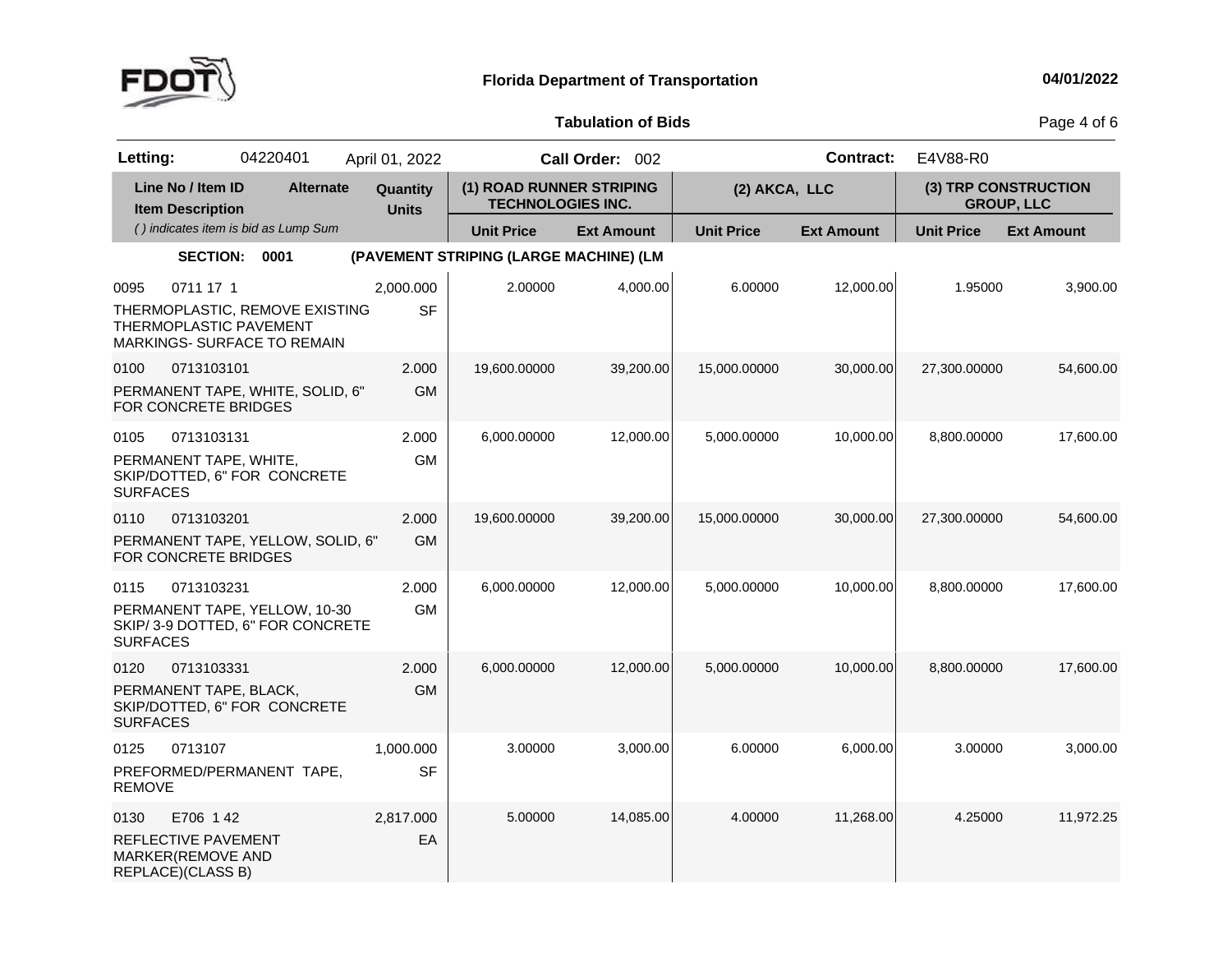

**Tabulation**

Page 4 of 6

| Letting:                |                                                                           | 04220401                                                          | April 01, 2022           |                                                      | Call Order: 002   |                   | <b>Contract:</b>  | E4V88-R0          |                                           |
|-------------------------|---------------------------------------------------------------------------|-------------------------------------------------------------------|--------------------------|------------------------------------------------------|-------------------|-------------------|-------------------|-------------------|-------------------------------------------|
|                         | Line No / Item ID<br><b>Item Description</b>                              | <b>Alternate</b>                                                  | Quantity<br><b>Units</b> | (1) ROAD RUNNER STRIPING<br><b>TECHNOLOGIES INC.</b> |                   | (2) AKCA, LLC     |                   |                   | (3) TRP CONSTRUCTION<br><b>GROUP, LLC</b> |
|                         |                                                                           | () indicates item is bid as Lump Sum                              |                          | <b>Unit Price</b>                                    | <b>Ext Amount</b> | <b>Unit Price</b> | <b>Ext Amount</b> | <b>Unit Price</b> | <b>Ext Amount</b>                         |
|                         | <b>SECTION:</b>                                                           | 0001                                                              |                          | (PAVEMENT STRIPING (LARGE MACHINE) (LM               |                   |                   |                   |                   |                                           |
| 0095                    | 0711 17 1<br>THERMOPLASTIC PAVEMENT                                       | THERMOPLASTIC, REMOVE EXISTING<br>MARKINGS- SURFACE TO REMAIN     | 2,000.000<br><b>SF</b>   | 2.00000                                              | 4,000.00          | 6.00000           | 12,000.00         | 1.95000           | 3,900.00                                  |
| 0100                    | 0713103101<br>FOR CONCRETE BRIDGES                                        | PERMANENT TAPE, WHITE, SOLID, 6"                                  | 2.000<br><b>GM</b>       | 19,600.00000                                         | 39,200.00         | 15,000.00000      | 30,000.00         | 27,300.00000      | 54,600.00                                 |
| 0105<br><b>SURFACES</b> | 0713103131<br>PERMANENT TAPE, WHITE,                                      | SKIP/DOTTED, 6" FOR CONCRETE                                      | 2.000<br><b>GM</b>       | 6,000.00000                                          | 12,000.00         | 5,000.00000       | 10,000.00         | 8,800.00000       | 17,600.00                                 |
| 0110                    | 0713103201<br>FOR CONCRETE BRIDGES                                        | PERMANENT TAPE, YELLOW, SOLID, 6"                                 | 2.000<br><b>GM</b>       | 19,600.00000                                         | 39,200.00         | 15,000.00000      | 30,000.00         | 27,300.00000      | 54,600.00                                 |
| 0115<br><b>SURFACES</b> | 0713103231                                                                | PERMANENT TAPE, YELLOW, 10-30<br>SKIP/3-9 DOTTED, 6" FOR CONCRETE | 2.000<br><b>GM</b>       | 6,000.00000                                          | 12,000.00         | 5,000.00000       | 10,000.00         | 8,800.00000       | 17,600.00                                 |
| 0120<br><b>SURFACES</b> | 0713103331<br>PERMANENT TAPE, BLACK,                                      | SKIP/DOTTED, 6" FOR CONCRETE                                      | 2.000<br><b>GM</b>       | 6.000.00000                                          | 12.000.00         | 5.000.00000       | 10.000.00         | 8.800.00000       | 17,600.00                                 |
| 0125<br><b>REMOVE</b>   | 0713107                                                                   | PREFORMED/PERMANENT TAPE,                                         | 1,000.000<br><b>SF</b>   | 3.00000                                              | 3,000.00          | 6.00000           | 6,000.00          | 3.00000           | 3,000.00                                  |
| 0130                    | E706 142<br>REFLECTIVE PAVEMENT<br>MARKER(REMOVE AND<br>REPLACE)(CLASS B) |                                                                   | 2,817.000<br>EA          | 5.00000                                              | 14,085.00         | 4.00000           | 11,268.00         | 4.25000           | 11,972.25                                 |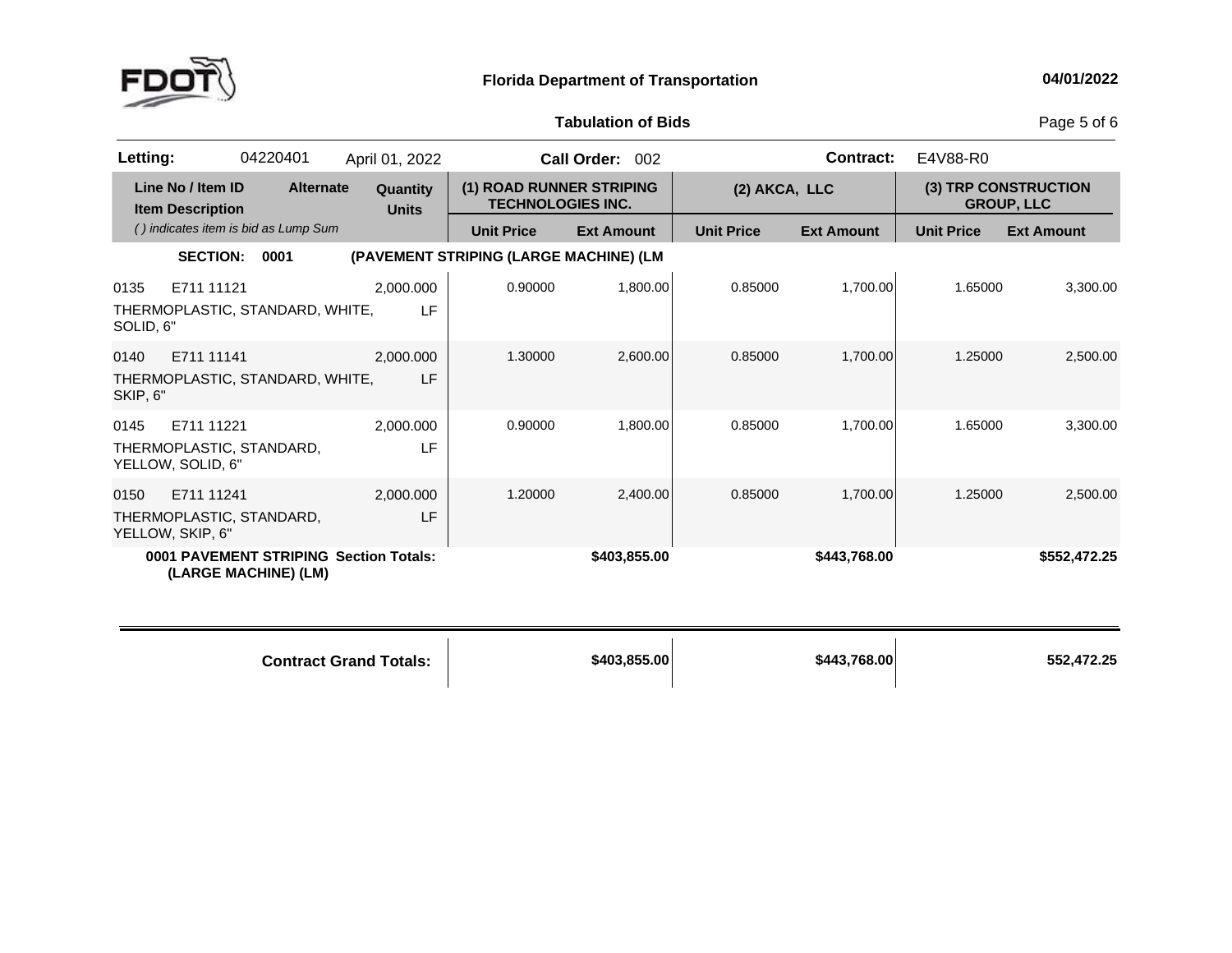

## **Tabulation**

Page 5 of 6

| Letting:          |                                                             | 04220401                                                       | April 01, 2022           |                                                      | Call Order: 002   |                   | Contract:         | E4V88-R0          |                                           |
|-------------------|-------------------------------------------------------------|----------------------------------------------------------------|--------------------------|------------------------------------------------------|-------------------|-------------------|-------------------|-------------------|-------------------------------------------|
|                   | Line No / Item ID<br><b>Item Description</b>                | <b>Alternate</b>                                               | Quantity<br><b>Units</b> | (1) ROAD RUNNER STRIPING<br><b>TECHNOLOGIES INC.</b> |                   | (2) AKCA, LLC     |                   |                   | (3) TRP CONSTRUCTION<br><b>GROUP, LLC</b> |
|                   |                                                             | () indicates item is bid as Lump Sum                           |                          | <b>Unit Price</b>                                    | <b>Ext Amount</b> | <b>Unit Price</b> | <b>Ext Amount</b> | <b>Unit Price</b> | <b>Ext Amount</b>                         |
|                   | <b>SECTION:</b>                                             | 0001                                                           |                          | (PAVEMENT STRIPING (LARGE MACHINE) (LM               |                   |                   |                   |                   |                                           |
| 0135<br>SOLID, 6" | E711 11121                                                  | THERMOPLASTIC, STANDARD, WHITE,                                | 2,000.000<br>LF          | 0.90000                                              | 1,800.00          | 0.85000           | 1,700.00          | 1.65000           | 3,300.00                                  |
| 0140<br>SKIP, 6"  | E711 11141                                                  | THERMOPLASTIC, STANDARD, WHITE,                                | 2,000.000<br>LF          | 1.30000                                              | 2,600.00          | 0.85000           | 1,700.00          | 1.25000           | 2,500.00                                  |
| 0145              | E711 11221<br>THERMOPLASTIC, STANDARD,<br>YELLOW, SOLID, 6" |                                                                | 2,000.000<br>LF          | 0.90000                                              | 1,800.00          | 0.85000           | 1,700.00          | 1.65000           | 3,300.00                                  |
| 0150              | E711 11241<br>THERMOPLASTIC, STANDARD,<br>YELLOW, SKIP, 6"  |                                                                | 2,000.000<br>LF          | 1.20000                                              | 2,400.00          | 0.85000           | 1,700.00          | 1.25000           | 2,500.00                                  |
|                   |                                                             | 0001 PAVEMENT STRIPING Section Totals:<br>(LARGE MACHINE) (LM) |                          |                                                      | \$403,855.00      |                   | \$443,768.00      |                   | \$552,472.25                              |

| <b>Contract Grand Totals:</b> | \$403,855,00 | \$443,768.00 | 552.472.25 |
|-------------------------------|--------------|--------------|------------|
|                               |              |              |            |